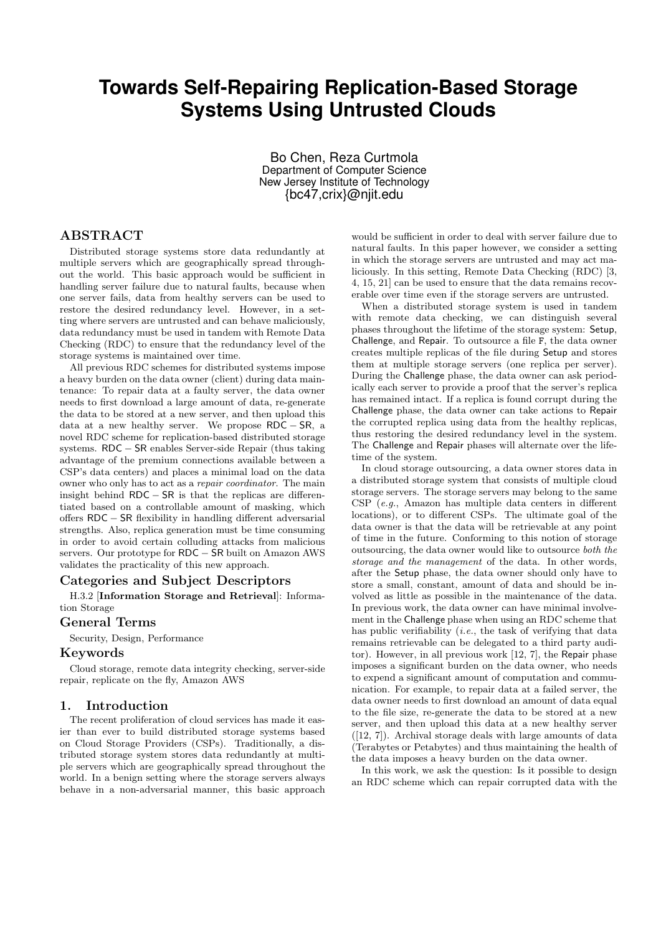# **Towards Self-Repairing Replication-Based Storage Systems Using Untrusted Clouds**

Bo Chen, Reza Curtmola Department of Computer Science New Jersey Institute of Technology {bc47,crix}@njit.edu

# ABSTRACT

Distributed storage systems store data redundantly at multiple servers which are geographically spread throughout the world. This basic approach would be sufficient in handling server failure due to natural faults, because when one server fails, data from healthy servers can be used to restore the desired redundancy level. However, in a setting where servers are untrusted and can behave maliciously, data redundancy must be used in tandem with Remote Data Checking (RDC) to ensure that the redundancy level of the storage systems is maintained over time.

All previous RDC schemes for distributed systems impose a heavy burden on the data owner (client) during data maintenance: To repair data at a faulty server, the data owner needs to first download a large amount of data, re-generate the data to be stored at a new server, and then upload this data at a new healthy server. We propose RDC − SR, a novel RDC scheme for replication-based distributed storage systems. RDC − SR enables Server-side Repair (thus taking advantage of the premium connections available between a CSP's data centers) and places a minimal load on the data owner who only has to act as a repair coordinator. The main insight behind  $RDC - SR$  is that the replicas are differentiated based on a controllable amount of masking, which offers RDC − SR flexibility in handling different adversarial strengths. Also, replica generation must be time consuming in order to avoid certain colluding attacks from malicious servers. Our prototype for RDC − SR built on Amazon AWS validates the practicality of this new approach.

# Categories and Subject Descriptors

H.3.2 [Information Storage and Retrieval]: Information Storage

### General Terms

Security, Design, Performance

### Keywords

Cloud storage, remote data integrity checking, server-side repair, replicate on the fly, Amazon AWS

#### 1. Introduction

The recent proliferation of cloud services has made it easier than ever to build distributed storage systems based on Cloud Storage Providers (CSPs). Traditionally, a distributed storage system stores data redundantly at multiple servers which are geographically spread throughout the world. In a benign setting where the storage servers always behave in a non-adversarial manner, this basic approach

would be sufficient in order to deal with server failure due to natural faults. In this paper however, we consider a setting in which the storage servers are untrusted and may act maliciously. In this setting, Remote Data Checking (RDC) [3, 4, 15, 21] can be used to ensure that the data remains recoverable over time even if the storage servers are untrusted.

When a distributed storage system is used in tandem with remote data checking, we can distinguish several phases throughout the lifetime of the storage system: Setup, Challenge, and Repair. To outsource a file F, the data owner creates multiple replicas of the file during Setup and stores them at multiple storage servers (one replica per server). During the Challenge phase, the data owner can ask periodically each server to provide a proof that the server's replica has remained intact. If a replica is found corrupt during the Challenge phase, the data owner can take actions to Repair the corrupted replica using data from the healthy replicas, thus restoring the desired redundancy level in the system. The Challenge and Repair phases will alternate over the lifetime of the system.

In cloud storage outsourcing, a data owner stores data in a distributed storage system that consists of multiple cloud storage servers. The storage servers may belong to the same CSP (e.g., Amazon has multiple data centers in different locations), or to different CSPs. The ultimate goal of the data owner is that the data will be retrievable at any point of time in the future. Conforming to this notion of storage outsourcing, the data owner would like to outsource both the storage and the management of the data. In other words, after the Setup phase, the data owner should only have to store a small, constant, amount of data and should be involved as little as possible in the maintenance of the data. In previous work, the data owner can have minimal involvement in the Challenge phase when using an RDC scheme that has public verifiability  $(i.e.,$  the task of verifying that data remains retrievable can be delegated to a third party auditor). However, in all previous work [12, 7], the Repair phase imposes a significant burden on the data owner, who needs to expend a significant amount of computation and communication. For example, to repair data at a failed server, the data owner needs to first download an amount of data equal to the file size, re-generate the data to be stored at a new server, and then upload this data at a new healthy server  $([12, 7])$ . Archival storage deals with large amounts of data (Terabytes or Petabytes) and thus maintaining the health of the data imposes a heavy burden on the data owner.

In this work, we ask the question: Is it possible to design an RDC scheme which can repair corrupted data with the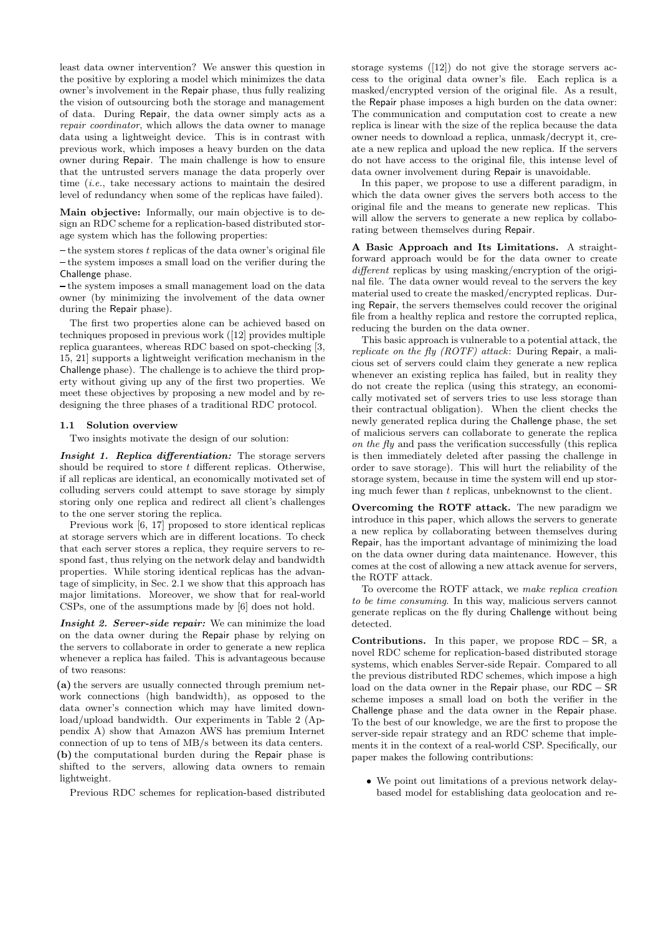least data owner intervention? We answer this question in the positive by exploring a model which minimizes the data owner's involvement in the Repair phase, thus fully realizing the vision of outsourcing both the storage and management of data. During Repair, the data owner simply acts as a repair coordinator, which allows the data owner to manage data using a lightweight device. This is in contrast with previous work, which imposes a heavy burden on the data owner during Repair. The main challenge is how to ensure that the untrusted servers manage the data properly over time (i.e., take necessary actions to maintain the desired level of redundancy when some of the replicas have failed).

Main objective: Informally, our main objective is to design an RDC scheme for a replication-based distributed storage system which has the following properties:

 $-\text{the system stores } t \text{ replicas of the data owner's original file}$  $-$  the system imposes a small load on the verifier during the Challenge phase.

 $-\text{the system imposes a small management load on the data}$ owner (by minimizing the involvement of the data owner during the Repair phase).

The first two properties alone can be achieved based on techniques proposed in previous work ([12] provides multiple replica guarantees, whereas RDC based on spot-checking [3, 15, 21] supports a lightweight verification mechanism in the Challenge phase). The challenge is to achieve the third property without giving up any of the first two properties. We meet these objectives by proposing a new model and by redesigning the three phases of a traditional RDC protocol.

#### 1.1 Solution overview

Two insights motivate the design of our solution:

Insight 1. Replica differentiation: The storage servers should be required to store  $t$  different replicas. Otherwise, if all replicas are identical, an economically motivated set of colluding servers could attempt to save storage by simply storing only one replica and redirect all client's challenges to the one server storing the replica.

Previous work [6, 17] proposed to store identical replicas at storage servers which are in different locations. To check that each server stores a replica, they require servers to respond fast, thus relying on the network delay and bandwidth properties. While storing identical replicas has the advantage of simplicity, in Sec. 2.1 we show that this approach has major limitations. Moreover, we show that for real-world CSPs, one of the assumptions made by [6] does not hold.

Insight 2. Server-side repair: We can minimize the load on the data owner during the Repair phase by relying on the servers to collaborate in order to generate a new replica whenever a replica has failed. This is advantageous because of two reasons:

(a) the servers are usually connected through premium network connections (high bandwidth), as opposed to the data owner's connection which may have limited download/upload bandwidth. Our experiments in Table 2 (Appendix A) show that Amazon AWS has premium Internet connection of up to tens of MB/s between its data centers. (b) the computational burden during the Repair phase is shifted to the servers, allowing data owners to remain lightweight.

Previous RDC schemes for replication-based distributed

storage systems ([12]) do not give the storage servers access to the original data owner's file. Each replica is a masked/encrypted version of the original file. As a result, the Repair phase imposes a high burden on the data owner: The communication and computation cost to create a new replica is linear with the size of the replica because the data owner needs to download a replica, unmask/decrypt it, create a new replica and upload the new replica. If the servers do not have access to the original file, this intense level of data owner involvement during Repair is unavoidable.

In this paper, we propose to use a different paradigm, in which the data owner gives the servers both access to the original file and the means to generate new replicas. This will allow the servers to generate a new replica by collaborating between themselves during Repair.

A Basic Approach and Its Limitations. A straightforward approach would be for the data owner to create different replicas by using masking/encryption of the original file. The data owner would reveal to the servers the key material used to create the masked/encrypted replicas. During Repair, the servers themselves could recover the original file from a healthy replica and restore the corrupted replica, reducing the burden on the data owner.

This basic approach is vulnerable to a potential attack, the replicate on the fly  $(ROTF)$  attack: During Repair, a malicious set of servers could claim they generate a new replica whenever an existing replica has failed, but in reality they do not create the replica (using this strategy, an economically motivated set of servers tries to use less storage than their contractual obligation). When the client checks the newly generated replica during the Challenge phase, the set of malicious servers can collaborate to generate the replica on the fly and pass the verification successfully (this replica is then immediately deleted after passing the challenge in order to save storage). This will hurt the reliability of the storage system, because in time the system will end up storing much fewer than t replicas, unbeknownst to the client.

Overcoming the ROTF attack. The new paradigm we introduce in this paper, which allows the servers to generate a new replica by collaborating between themselves during Repair, has the important advantage of minimizing the load on the data owner during data maintenance. However, this comes at the cost of allowing a new attack avenue for servers, the ROTF attack.

To overcome the ROTF attack, we make replica creation to be time consuming. In this way, malicious servers cannot generate replicas on the fly during Challenge without being detected.

Contributions. In this paper, we propose  $RDC - SR$ , a novel RDC scheme for replication-based distributed storage systems, which enables Server-side Repair. Compared to all the previous distributed RDC schemes, which impose a high load on the data owner in the Repair phase, our RDC − SR scheme imposes a small load on both the verifier in the Challenge phase and the data owner in the Repair phase. To the best of our knowledge, we are the first to propose the server-side repair strategy and an RDC scheme that implements it in the context of a real-world CSP. Specifically, our paper makes the following contributions:

• We point out limitations of a previous network delaybased model for establishing data geolocation and re-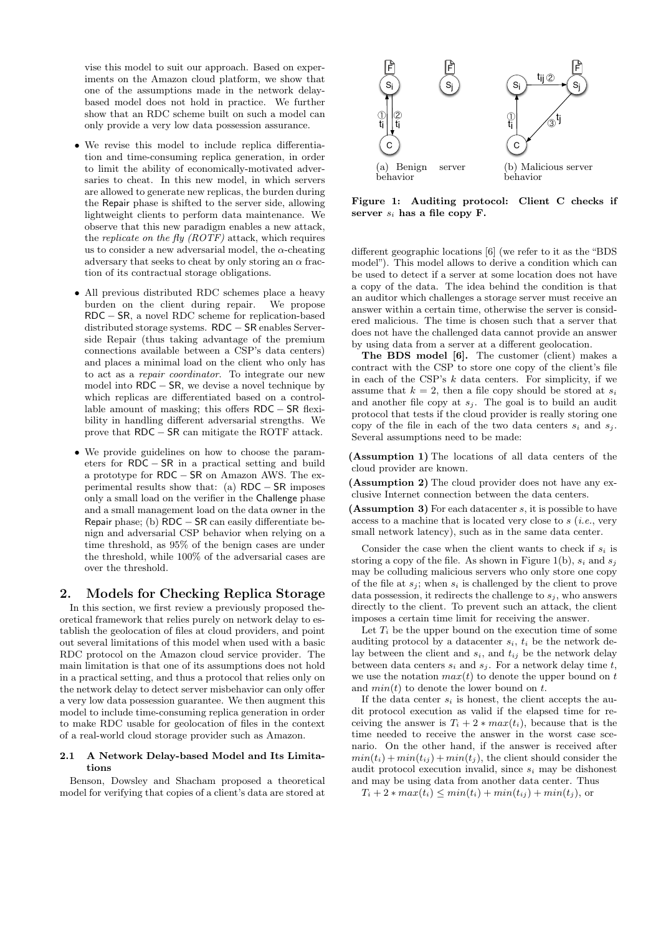vise this model to suit our approach. Based on experiments on the Amazon cloud platform, we show that one of the assumptions made in the network delaybased model does not hold in practice. We further show that an RDC scheme built on such a model can only provide a very low data possession assurance.

- We revise this model to include replica differentiation and time-consuming replica generation, in order to limit the ability of economically-motivated adversaries to cheat. In this new model, in which servers are allowed to generate new replicas, the burden during the Repair phase is shifted to the server side, allowing lightweight clients to perform data maintenance. We observe that this new paradigm enables a new attack, the *replicate on the fly (ROTF)* attack, which requires us to consider a new adversarial model, the  $\alpha$ -cheating adversary that seeks to cheat by only storing an  $\alpha$  fraction of its contractual storage obligations.
- All previous distributed RDC schemes place a heavy burden on the client during repair. We propose RDC − SR, a novel RDC scheme for replication-based distributed storage systems. RDC − SR enables Serverside Repair (thus taking advantage of the premium connections available between a CSP's data centers) and places a minimal load on the client who only has to act as a repair coordinator. To integrate our new model into RDC − SR, we devise a novel technique by which replicas are differentiated based on a controllable amount of masking; this offers RDC − SR flexibility in handling different adversarial strengths. We prove that RDC − SR can mitigate the ROTF attack.
- We provide guidelines on how to choose the parameters for RDC − SR in a practical setting and build a prototype for RDC − SR on Amazon AWS. The experimental results show that: (a) RDC − SR imposes only a small load on the verifier in the Challenge phase and a small management load on the data owner in the Repair phase; (b)  $RDC - SR$  can easily differentiate benign and adversarial CSP behavior when relying on a time threshold, as 95% of the benign cases are under the threshold, while 100% of the adversarial cases are over the threshold.

# 2. Models for Checking Replica Storage

In this section, we first review a previously proposed theoretical framework that relies purely on network delay to establish the geolocation of files at cloud providers, and point out several limitations of this model when used with a basic RDC protocol on the Amazon cloud service provider. The main limitation is that one of its assumptions does not hold in a practical setting, and thus a protocol that relies only on the network delay to detect server misbehavior can only offer a very low data possession guarantee. We then augment this model to include time-consuming replica generation in order to make RDC usable for geolocation of files in the context of a real-world cloud storage provider such as Amazon.

### 2.1 A Network Delay-based Model and Its Limitations

Benson, Dowsley and Shacham proposed a theoretical model for verifying that copies of a client's data are stored at



Figure 1: Auditing protocol: Client C checks if server  $s_i$  has a file copy  $\mathbf{F}$ .

different geographic locations [6] (we refer to it as the "BDS model"). This model allows to derive a condition which can be used to detect if a server at some location does not have a copy of the data. The idea behind the condition is that an auditor which challenges a storage server must receive an answer within a certain time, otherwise the server is considered malicious. The time is chosen such that a server that does not have the challenged data cannot provide an answer by using data from a server at a different geolocation.

The BDS model [6]. The customer (client) makes a contract with the CSP to store one copy of the client's file in each of the CSP's  $k$  data centers. For simplicity, if we assume that  $k = 2$ , then a file copy should be stored at  $s_i$ and another file copy at  $s_j$ . The goal is to build an audit protocol that tests if the cloud provider is really storing one copy of the file in each of the two data centers  $s_i$  and  $s_j$ . Several assumptions need to be made:

(Assumption 1) The locations of all data centers of the cloud provider are known.

(Assumption 2) The cloud provider does not have any exclusive Internet connection between the data centers.

(Assumption 3) For each datacenter s, it is possible to have access to a machine that is located very close to  $s$  (*i.e.*, very small network latency), such as in the same data center.

Consider the case when the client wants to check if  $s_i$  is storing a copy of the file. As shown in Figure 1(b),  $s_i$  and  $s_j$ may be colluding malicious servers who only store one copy of the file at  $s_i$ ; when  $s_i$  is challenged by the client to prove data possession, it redirects the challenge to  $s_j$ , who answers directly to the client. To prevent such an attack, the client imposes a certain time limit for receiving the answer.

Let  $T_i$  be the upper bound on the execution time of some auditing protocol by a datacenter  $s_i$ ,  $t_i$  be the network delay between the client and  $s_i$ , and  $t_{ij}$  be the network delay between data centers  $s_i$  and  $s_j$ . For a network delay time t, we use the notation  $max(t)$  to denote the upper bound on t and  $min(t)$  to denote the lower bound on t.

If the data center  $s_i$  is honest, the client accepts the audit protocol execution as valid if the elapsed time for receiving the answer is  $T_i + 2 * max(t_i)$ , because that is the time needed to receive the answer in the worst case scenario. On the other hand, if the answer is received after  $min(t_i) + min(t_{ij}) + min(t_j)$ , the client should consider the audit protocol execution invalid, since  $s_i$  may be dishonest and may be using data from another data center. Thus

 $T_i + 2 * max(t_i) \leq min(t_i) + min(t_{ij}) + min(t_j)$ , or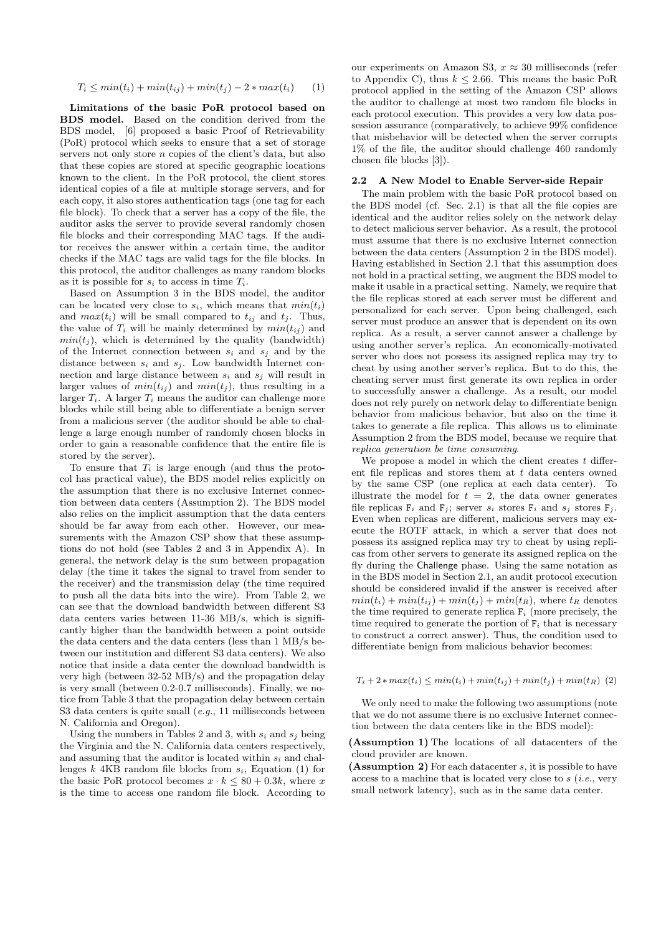$$
T_i \leq min(t_i) + min(t_{ij}) + min(t_j) - 2 * max(t_i) \qquad (1)
$$

Limitations of the basic PoR protocol based on BDS model. Based on the condition derived from the BDS model, [6] proposed a basic Proof of Retrievability (PoR) protocol which seeks to ensure that a set of storage servers not only store *n* copies of the client's data, but also that these copies are stored at specific geographic locations known to the client. In the PoR protocol, the client stores identical copies of a file at multiple storage servers, and for each copy, it also stores authentication tags (one tag for each file block). To check that a server has a copy of the file, the auditor asks the server to provide several randomly chosen file blocks and their corresponding MAC tags. If the auditor receives the answer within a certain time, the auditor checks if the MAC tags are valid tags for the file blocks. In this protocol, the auditor challenges as many random blocks as it is possible for  $s_i$  to access in time  $T_i$ .

Based on Assumption 3 in the BDS model, the auditor can be located very close to  $s_i$ , which means that  $min(t_i)$ and  $max(t_i)$  will be small compared to  $t_{ij}$  and  $t_i$ . Thus, the value of  $T_i$  will be mainly determined by  $min(t_{ij})$  and  $min(t<sub>j</sub>)$ , which is determined by the quality (bandwidth) of the Internet connection between  $s_i$  and  $s_j$  and by the distance between  $s_i$  and  $s_j$ . Low bandwidth Internet connection and large distance between  $s_i$  and  $s_j$  will result in larger values of  $min(t_{ij})$  and  $min(t_j)$ , thus resulting in a larger  $T_i$ . A larger  $T_i$  means the auditor can challenge more blocks while still being able to differentiate a benign server from a malicious server (the auditor should be able to challenge a large enough number of randomly chosen blocks in order to gain a reasonable confidence that the entire file is stored by the server).

To ensure that  $T_i$  is large enough (and thus the protocol has practical value), the BDS model relies explicitly on the assumption that there is no exclusive Internet connection between data centers (Assumption 2). The BDS model also relies on the implicit assumption that the data centers should be far away from each other. However, our measurements with the Amazon CSP show that these assumptions do not hold (see Tables 2 and 3 in Appendix A). In general, the network delay is the sum between propagation delay (the time it takes the signal to travel from sender to the receiver) and the transmission delay (the time required to push all the data bits into the wire). From Table 2, we can see that the download bandwidth between different S3 data centers varies between 11-36 MB/s, which is significantly higher than the bandwidth between a point outside the data centers and the data centers (less than 1 MB/s between our institution and different S3 data centers). We also notice that inside a data center the download bandwidth is very high (between 32-52 MB/s) and the propagation delay is very small (between 0.2-0.7 milliseconds). Finally, we notice from Table 3 that the propagation delay between certain S3 data centers is quite small  $(e.g., 11$  milliseconds between N. California and Oregon).

Using the numbers in Tables 2 and 3, with  $s_i$  and  $s_j$  being the Virginia and the N. California data centers respectively, and assuming that the auditor is located within  $s_i$  and challenges  $k$  4KB random file blocks from  $s_i$ , Equation (1) for the basic PoR protocol becomes  $x \cdot k \leq 80 + 0.3k$ , where x is the time to access one random file block. According to

our experiments on Amazon S3,  $x \approx 30$  milliseconds (refer to Appendix C), thus  $k \le 2.66$ . This means the basic PoR protocol applied in the setting of the Amazon CSP allows the auditor to challenge at most two random file blocks in each protocol execution. This provides a very low data possession assurance (comparatively, to achieve 99% confidence that misbehavior will be detected when the server corrupts 1% of the file, the auditor should challenge 460 randomly chosen file blocks [3]).

#### 2.2 A New Model to Enable Server-side Repair

The main problem with the basic PoR protocol based on the BDS model (cf. Sec. 2.1) is that all the file copies are identical and the auditor relies solely on the network delay to detect malicious server behavior. As a result, the protocol must assume that there is no exclusive Internet connection between the data centers (Assumption 2 in the BDS model). Having established in Section 2.1 that this assumption does not hold in a practical setting, we augment the BDS model to make it usable in a practical setting. Namely, we require that the file replicas stored at each server must be different and personalized for each server. Upon being challenged, each server must produce an answer that is dependent on its own replica. As a result, a server cannot answer a challenge by using another server's replica. An economically-motivated server who does not possess its assigned replica may try to cheat by using another server's replica. But to do this, the cheating server must first generate its own replica in order to successfully answer a challenge. As a result, our model does not rely purely on network delay to differentiate benign behavior from malicious behavior, but also on the time it takes to generate a file replica. This allows us to eliminate Assumption 2 from the BDS model, because we require that replica generation be time consuming.

We propose a model in which the client creates  $t$  different file replicas and stores them at  $t$  data centers owned by the same CSP (one replica at each data center). To illustrate the model for  $t = 2$ , the data owner generates file replicas  $F_i$  and  $F_j$ ; server  $s_i$  stores  $F_i$  and  $s_j$  stores  $F_j$ . Even when replicas are different, malicious servers may execute the ROTF attack, in which a server that does not possess its assigned replica may try to cheat by using replicas from other servers to generate its assigned replica on the fly during the Challenge phase. Using the same notation as in the BDS model in Section 2.1, an audit protocol execution should be considered invalid if the answer is received after  $min(t_i) + min(t_{ij}) + min(t_j) + min(t_R)$ , where  $t_R$  denotes the time required to generate replica  $F_i$  (more precisely, the time required to generate the portion of  $F_i$  that is necessary to construct a correct answer). Thus, the condition used to differentiate benign from malicious behavior becomes:

$$
T_i + 2 * max(t_i) \leq min(t_i) + min(t_{ij}) + min(t_j) + min(t_R)
$$
 (2)

We only need to make the following two assumptions (note that we do not assume there is no exclusive Internet connection between the data centers like in the BDS model):

(Assumption 1) The locations of all datacenters of the cloud provider are known.

(Assumption 2) For each datacenter s, it is possible to have access to a machine that is located very close to  $s$  (*i.e.*, very small network latency), such as in the same data center.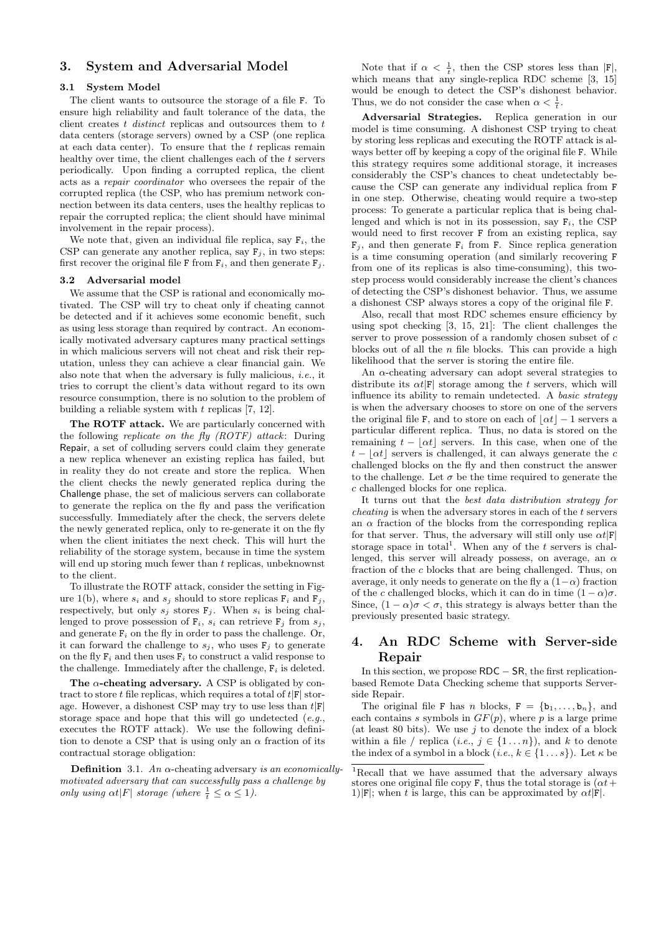# 3. System and Adversarial Model

#### 3.1 System Model

The client wants to outsource the storage of a file F. To ensure high reliability and fault tolerance of the data, the client creates  $t$  distinct replicas and outsources them to  $t$ data centers (storage servers) owned by a CSP (one replica at each data center). To ensure that the  $t$  replicas remain healthy over time, the client challenges each of the  $t$  servers periodically. Upon finding a corrupted replica, the client acts as a repair coordinator who oversees the repair of the corrupted replica (the CSP, who has premium network connection between its data centers, uses the healthy replicas to repair the corrupted replica; the client should have minimal involvement in the repair process).

We note that, given an individual file replica, say  $F_i$ , the CSP can generate any another replica, say  $F_i$ , in two steps: first recover the original file F from  $F_i$ , and then generate  $F_i$ .

#### 3.2 Adversarial model

We assume that the CSP is rational and economically motivated. The CSP will try to cheat only if cheating cannot be detected and if it achieves some economic benefit, such as using less storage than required by contract. An economically motivated adversary captures many practical settings in which malicious servers will not cheat and risk their reputation, unless they can achieve a clear financial gain. We also note that when the adversary is fully malicious, *i.e.*, it tries to corrupt the client's data without regard to its own resource consumption, there is no solution to the problem of building a reliable system with  $t$  replicas [7, 12].

The ROTF attack. We are particularly concerned with the following *replicate* on the fly  $(ROTF)$  attack: During Repair, a set of colluding servers could claim they generate a new replica whenever an existing replica has failed, but in reality they do not create and store the replica. When the client checks the newly generated replica during the Challenge phase, the set of malicious servers can collaborate to generate the replica on the fly and pass the verification successfully. Immediately after the check, the servers delete the newly generated replica, only to re-generate it on the fly when the client initiates the next check. This will hurt the reliability of the storage system, because in time the system will end up storing much fewer than  $t$  replicas, unbeknownst to the client.

To illustrate the ROTF attack, consider the setting in Figure 1(b), where  $s_i$  and  $s_j$  should to store replicas  $\mathbf{F}_i$  and  $\mathbf{F}_j$ , respectively, but only  $s_j$  stores  $\mathbf{F}_j$ . When  $s_i$  is being challenged to prove possession of  $F_i$ ,  $s_i$  can retrieve  $F_j$  from  $s_j$ , and generate  $F_i$  on the fly in order to pass the challenge. Or, it can forward the challenge to  $s_j$ , who uses  $F_j$  to generate on the fly  $F_i$  and then uses  $F_i$  to construct a valid response to the challenge. Immediately after the challenge,  $F_i$  is deleted.

The  $\alpha$ -cheating adversary. A CSP is obligated by contract to store t file replicas, which requires a total of  $t|F|$  storage. However, a dishonest CSP may try to use less than  $t|F|$ storage space and hope that this will go undetected (e.g., executes the ROTF attack). We use the following definition to denote a CSP that is using only an  $\alpha$  fraction of its contractual storage obligation:

**Definition** 3.1. An  $\alpha$ -cheating adversary is an economicallymotivated adversary that can successfully pass a challenge by only using  $\alpha t |F|$  storage (where  $\frac{1}{t} \leq \alpha \leq 1$ ).

Note that if  $\alpha < \frac{1}{t}$ , then the CSP stores less than  $|F|$ , which means that any single-replica RDC scheme [3, 15] would be enough to detect the CSP's dishonest behavior. Thus, we do not consider the case when  $\alpha < \frac{1}{t}$ .

Adversarial Strategies. Replica generation in our model is time consuming. A dishonest CSP trying to cheat by storing less replicas and executing the ROTF attack is always better off by keeping a copy of the original file F. While this strategy requires some additional storage, it increases considerably the CSP's chances to cheat undetectably because the CSP can generate any individual replica from F in one step. Otherwise, cheating would require a two-step process: To generate a particular replica that is being challenged and which is not in its possession, say  $F_i$ , the CSP would need to first recover F from an existing replica, say  $F_j$ , and then generate  $F_i$  from F. Since replica generation is a time consuming operation (and similarly recovering F from one of its replicas is also time-consuming), this twostep process would considerably increase the client's chances of detecting the CSP's dishonest behavior. Thus, we assume a dishonest CSP always stores a copy of the original file F.

Also, recall that most RDC schemes ensure efficiency by using spot checking [3, 15, 21]: The client challenges the server to prove possession of a randomly chosen subset of  $c$ blocks out of all the  $n$  file blocks. This can provide a high likelihood that the server is storing the entire file.

An  $\alpha$ -cheating adversary can adopt several strategies to distribute its  $\alpha t$ |F| storage among the t servers, which will influence its ability to remain undetected. A basic strategy is when the adversary chooses to store on one of the servers the original file F, and to store on each of  $|\alpha t| - 1$  servers a particular different replica. Thus, no data is stored on the remaining  $t - |\alpha t|$  servers. In this case, when one of the  $t - |\alpha t|$  servers is challenged, it can always generate the c challenged blocks on the fly and then construct the answer to the challenge. Let  $\sigma$  be the time required to generate the c challenged blocks for one replica.

It turns out that the best data distribution strategy for cheating is when the adversary stores in each of the t servers an  $\alpha$  fraction of the blocks from the corresponding replica for that server. Thus, the adversary will still only use  $\alpha t|\mathbf{F}|$ storage space in total<sup>1</sup>. When any of the t servers is challenged, this server will already possess, on average, an  $\alpha$ fraction of the c blocks that are being challenged. Thus, on average, it only needs to generate on the fly a  $(1-\alpha)$  fraction of the c challenged blocks, which it can do in time  $(1 - \alpha)\sigma$ . Since,  $(1 - \alpha)\sigma < \sigma$ , this strategy is always better than the previously presented basic strategy.

# 4. An RDC Scheme with Server-side Repair

In this section, we propose  $RDC - SR$ , the first replicationbased Remote Data Checking scheme that supports Serverside Repair.

The original file F has n blocks,  $F = \{b_1, \ldots, b_n\}$ , and each contains s symbols in  $GF(p)$ , where p is a large prime (at least 80 bits). We use  $j$  to denote the index of a block within a file / replica  $(i.e., j \in \{1 \dots n\})$ , and k to denote the index of a symbol in a block  $(i.e., k \in \{1...s\})$ . Let  $\kappa$  be

<sup>1</sup>Recall that we have assumed that the adversary always stores one original file copy F, thus the total storage is  $(\alpha t +$ 1)|F|; when t is large, this can be approximated by  $\alpha t|\mathbf{F}|$ .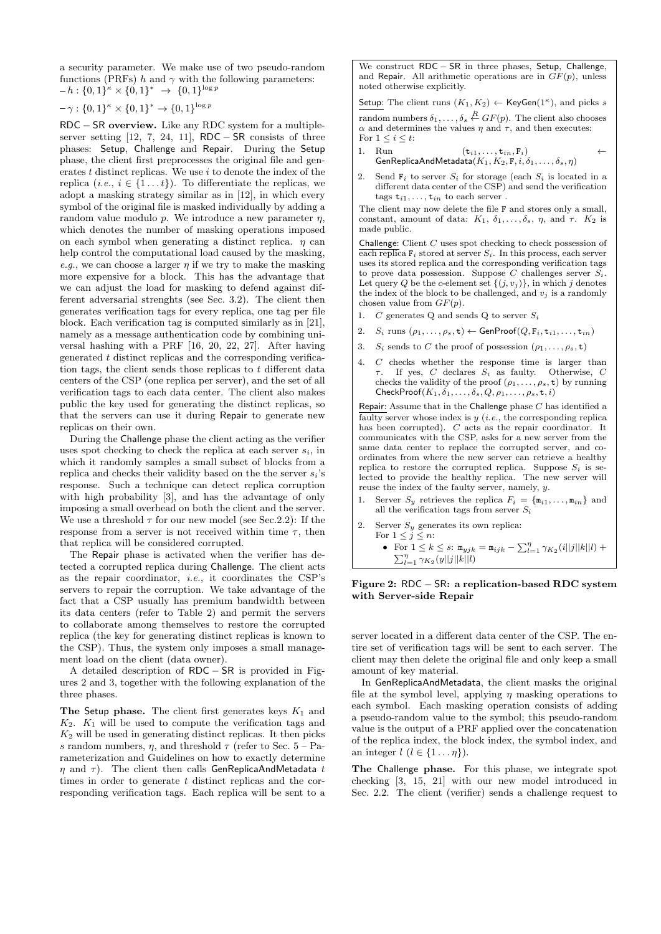a security parameter. We make use of two pseudo-random functions (PRFs) h and  $\gamma$  with the following parameters:  $h: \{0,1\}^{\kappa} \times \{0,1\}^* \rightarrow \{0,1\}^{\log p}$ 

$$
-\gamma : \{0,1\}^{\kappa} \times \{0,1\}^* \to \{0,1\}^{\log p}
$$

RDC − SR overview. Like any RDC system for a multipleserver setting  $[12, 7, 24, 11]$ , RDC – SR consists of three phases: Setup, Challenge and Repair. During the Setup phase, the client first preprocesses the original file and generates  $t$  distinct replicas. We use  $i$  to denote the index of the replica (*i.e.*,  $i \in \{1...t\}$ ). To differentiate the replicas, we adopt a masking strategy similar as in [12], in which every symbol of the original file is masked individually by adding a random value modulo  $p$ . We introduce a new parameter  $n$ , which denotes the number of masking operations imposed on each symbol when generating a distinct replica.  $\eta$  can help control the computational load caused by the masking, e.g., we can choose a larger  $\eta$  if we try to make the masking more expensive for a block. This has the advantage that we can adjust the load for masking to defend against different adversarial strenghts (see Sec. 3.2). The client then generates verification tags for every replica, one tag per file block. Each verification tag is computed similarly as in [21], namely as a message authentication code by combining universal hashing with a PRF [16, 20, 22, 27]. After having generated  $t$  distinct replicas and the corresponding verification tags, the client sends those replicas to  $t$  different data centers of the CSP (one replica per server), and the set of all verification tags to each data center. The client also makes public the key used for generating the distinct replicas, so that the servers can use it during Repair to generate new replicas on their own.

During the Challenge phase the client acting as the verifier uses spot checking to check the replica at each server  $s_i$ , in which it randomly samples a small subset of blocks from a replica and checks their validity based on the the server  $s_i$ 's response. Such a technique can detect replica corruption with high probability [3], and has the advantage of only imposing a small overhead on both the client and the server. We use a threshold  $\tau$  for our new model (see Sec. 2.2): If the response from a server is not received within time  $\tau$ , then that replica will be considered corrupted.

The Repair phase is activated when the verifier has detected a corrupted replica during Challenge. The client acts as the repair coordinator, *i.e.*, it coordinates the CSP's servers to repair the corruption. We take advantage of the fact that a CSP usually has premium bandwidth between its data centers (refer to Table 2) and permit the servers to collaborate among themselves to restore the corrupted replica (the key for generating distinct replicas is known to the CSP). Thus, the system only imposes a small management load on the client (data owner).

A detailed description of RDC − SR is provided in Figures 2 and 3, together with the following explanation of the three phases.

The Setup phase. The client first generates keys  $K_1$  and  $K_2$ .  $K_1$  will be used to compute the verification tags and  $K_2$  will be used in generating distinct replicas. It then picks s random numbers,  $\eta$ , and threshold  $\tau$  (refer to Sec. 5 – Parameterization and Guidelines on how to exactly determine  $\eta$  and  $\tau$ ). The client then calls GenReplicaAndMetadata t times in order to generate  $t$  distinct replicas and the corresponding verification tags. Each replica will be sent to a

We construct RDC – SR in three phases, Setup, Challenge, and Repair. All arithmetic operations are in  $GF(p)$ , unless noted otherwise explicitly.

Setup: The client runs  $(K_1, K_2) \leftarrow \text{KeyGen}(1^{\kappa})$ , and picks s

random numbers  $\delta_1, \ldots, \delta_s \stackrel{R}{\leftarrow} GF(p)$ . The client also chooses  $\alpha$  and determines the values  $\eta$  and  $\tau$ , and then executes: For  $1\leq i\leq t$ :

1. Run 
$$
(t_{i1},...,t_{in},F_i)
$$
  
GenReplicaAndMetadata $(K_1, K_2, F, i, \delta_1,..., \delta_s, \eta)$ 

2. Send  $F_i$  to server  $S_i$  for storage (each  $S_i$  is located in a different data center of the CSP) and send the verification tags  $t_{i1}, \ldots, t_{in}$  to each server.

The client may now delete the file F and stores only a small, constant, amount of data:  $K_1$ ,  $\delta_1$ , ...,  $\delta_s$ ,  $\eta$ , and  $\tau$ .  $K_2$  is made public.

Challenge: Client C uses spot checking to check possession of each replica  $F_i$  stored at server  $S_i$ . In this process, each server uses its stored replica and the corresponding verification tags to prove data possession. Suppose  $C$  challenges server  $\tilde{S}_i$ . Let query Q be the c-element set  $\{(j, v_j)\}\)$ , in which j denotes the index of the block to be challenged, and  $v_j$  is a randomly chosen value from  $GF(p)$ .

- 1.  $C$  generates Q and sends Q to server  $S_i$
- 2.  $S_i$  runs  $(\rho_1, \ldots, \rho_s, t) \leftarrow$  GenProof $(Q, F_i, t_{i1}, \ldots, t_{in})$
- 3. S<sub>i</sub> sends to C the proof of possession  $(\rho_1, \ldots, \rho_s, t)$
- 4. C checks whether the response time is larger than If yes, C declares  $S_i$  as faulty. Otherwise, C checks the validity of the proof  $(\rho_1, \ldots, \rho_s, t)$  by running CheckProof $(K_1, \delta_1, \ldots, \delta_s, Q, \rho_1, \ldots, \rho_s, t, i)$

Repair: Assume that in the Challenge phase  $C$  has identified a  $\overline{\text{faulty}}$  server whose index is  $y$  (*i.e.*, the corresponding replica has been corrupted). C acts as the repair coordinator. It communicates with the CSP, asks for a new server from the same data center to replace the corrupted server, and coordinates from where the new server can retrieve a healthy replica to restore the corrupted replica. Suppose  $S_i$  is selected to provide the healthy replica. The new server will reuse the index of the faulty server, namely, y.

- 1. Server  $S_y$  retrieves the replica  $F_i = \{\mathbf{m}_{i1}, \ldots, \mathbf{m}_{in}\}\$  and all the verification tags from server  $S_i$
- 2. Server  $S_y$  generates its own replica: For  $1 \leq j \leq n$ :
	- For  $1 \leq k \leq s$ :  $\mathfrak{m}_{yjk} = \mathfrak{m}_{ijk} \sum_{l=1}^{n} \gamma_{K_2}(i||j||k||l) + \sum_{l=1}^{n} \gamma_{K_2}(y||j||k||l)$  $\sum_{l=1}^{\eta} \gamma_{K_2}(y||j||k||l)$

Figure 2: RDC − SR: a replication-based RDC system with Server-side Repair

server located in a different data center of the CSP. The entire set of verification tags will be sent to each server. The client may then delete the original file and only keep a small amount of key material.

In GenReplicaAndMetadata, the client masks the original file at the symbol level, applying  $\eta$  masking operations to each symbol. Each masking operation consists of adding a pseudo-random value to the symbol; this pseudo-random value is the output of a PRF applied over the concatenation of the replica index, the block index, the symbol index, and an integer  $l$   $(l \in \{1 \dots \eta\})$ .

The Challenge phase. For this phase, we integrate spot checking [3, 15, 21] with our new model introduced in Sec. 2.2. The client (verifier) sends a challenge request to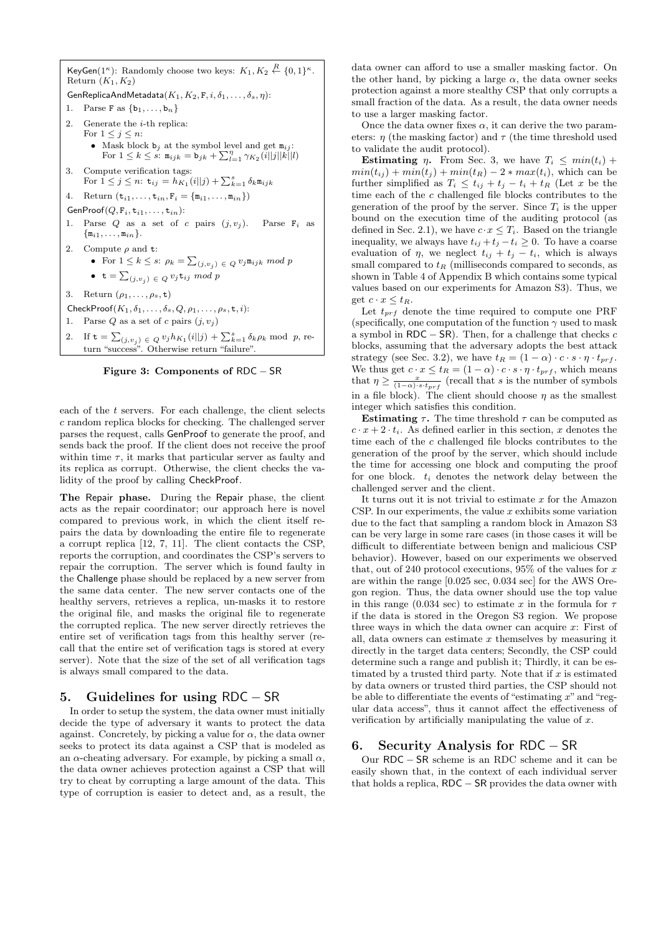KeyGen( $1^{\kappa}$ ): Randomly choose two keys:  $K_1, K_2 \stackrel{R}{\leftarrow} \{0, 1\}^{\kappa}$ . Return  $(K_1, K_2)$ GenReplicaAndMetadata $(K_1, K_2, F, i, \delta_1, \ldots, \delta_s, \eta)$ : 1. Parse F as  $\{b_1, \ldots, b_n\}$ 2. Generate the i-th replica: For  $1 \leq j \leq n$ : • Mask block  $\mathbf{b}_j$  at the symbol level and get  $\mathbf{m}_{ij}$ For  $1 \leq k \leq s$ :  $m_{ijk} = b_{jk} + \sum_{l=1}^{n} \gamma_{K_2}(i||j||k||l)$ 3. Compute verification tags: For  $1 \leq j \leq n$ :  $\mathbf{t}_{ij} = h_{K_1}(i||j) + \sum_{k=1}^{s} \delta_k \mathbf{m}_{ijk}$ 4. Return  $({\bf t}_{i1},..., {\bf t}_{in}, {\bf F}_i = \{m_{i1},..., m_{in}\})$ GenProof $(Q, F_i, t_{i1}, \ldots, t_{in})$ : 1. Parse Q as a set of c pairs  $(j, v_j)$ . Parse  $F_i$  as  $\{\mathbf m_{i1},\ldots,\mathbf m_{in}\}.$ 2. Compute  $\rho$  and t: • For  $1 \leq k \leq s$ :  $\rho_k = \sum_{(j,v_j) \in Q} v_j \mathbb{m}_{ijk} \mod p$  $\bullet\text{ }t=\sum_{(j,v_j)\text{ }\in\text{ }Q}v_j\mathtt{t}_{ij}\text{ }\text{mod }p$ 3. Return  $(\rho_1, \ldots, \rho_s, \mathbf{t})$ CheckProof $(K_1, \delta_1, \ldots, \delta_s, Q, \rho_1, \ldots, \rho_s, \mathbf{t}, i)$ : 1. Parse  $Q$  as a set of c pairs  $(j, v_j)$ 2. If  $\mathbf{t} = \sum_{(j,v_j) \in Q} v_j h_{K_1}(i||j) + \sum_{k=1}^s \delta_k \rho_k \text{ mod } p$ , return "success". Otherwise return "failure".

Figure 3: Components of RDC − SR

each of the t servers. For each challenge, the client selects c random replica blocks for checking. The challenged server parses the request, calls GenProof to generate the proof, and sends back the proof. If the client does not receive the proof within time  $\tau$ , it marks that particular server as faulty and its replica as corrupt. Otherwise, the client checks the validity of the proof by calling CheckProof.

The Repair phase. During the Repair phase, the client acts as the repair coordinator; our approach here is novel compared to previous work, in which the client itself repairs the data by downloading the entire file to regenerate a corrupt replica [12, 7, 11]. The client contacts the CSP, reports the corruption, and coordinates the CSP's servers to repair the corruption. The server which is found faulty in the Challenge phase should be replaced by a new server from the same data center. The new server contacts one of the healthy servers, retrieves a replica, un-masks it to restore the original file, and masks the original file to regenerate the corrupted replica. The new server directly retrieves the entire set of verification tags from this healthy server (recall that the entire set of verification tags is stored at every server). Note that the size of the set of all verification tags is always small compared to the data.

# 5. Guidelines for using RDC − SR

In order to setup the system, the data owner must initially decide the type of adversary it wants to protect the data against. Concretely, by picking a value for  $\alpha$ , the data owner seeks to protect its data against a CSP that is modeled as an  $\alpha$ -cheating adversary. For example, by picking a small  $\alpha$ , the data owner achieves protection against a CSP that will try to cheat by corrupting a large amount of the data. This type of corruption is easier to detect and, as a result, the

data owner can afford to use a smaller masking factor. On the other hand, by picking a large  $\alpha$ , the data owner seeks protection against a more stealthy CSP that only corrupts a small fraction of the data. As a result, the data owner needs to use a larger masking factor.

Once the data owner fixes  $\alpha$ , it can derive the two parameters:  $\eta$  (the masking factor) and  $\tau$  (the time threshold used to validate the audit protocol).

Estimating  $\eta$ . From Sec. 3, we have  $T_i \leq min(t_i)$  +  $min(t_{ij}) + min(t_j) + min(t_R) - 2 * max(t_i)$ , which can be further simplified as  $T_i \leq t_{ij} + t_j - t_i + t_R$  (Let x be the time each of the c challenged file blocks contributes to the generation of the proof by the server. Since  $T_i$  is the upper bound on the execution time of the auditing protocol (as defined in Sec. 2.1), we have  $c \cdot x \leq T_i$ . Based on the triangle inequality, we always have  $t_{ij} + t_j - t_i \geq 0$ . To have a coarse evaluation of  $\eta$ , we neglect  $t_{ij} + t_j - t_i$ , which is always small compared to  $t_R$  (milliseconds compared to seconds, as shown in Table 4 of Appendix B which contains some typical values based on our experiments for Amazon S3). Thus, we get  $c \cdot x \leq t_R$ .

Let  $t_{nrf}$  denote the time required to compute one PRF (specifically, one computation of the function  $\gamma$  used to mask a symbol in  $RDC - SR$ ). Then, for a challenge that checks c blocks, assuming that the adversary adopts the best attack strategy (see Sec. 3.2), we have  $t_R = (1 - \alpha) \cdot c \cdot s \cdot \eta \cdot t_{prf}$ . We thus get  $c \cdot x \leq t_R = (1 - \alpha) \cdot c \cdot s \cdot \eta \cdot t_{prf}$ , which means that  $\eta \geq \frac{x}{(1-\alpha)\cdot s\cdot t_{prf}}$  (recall that s is the number of symbols in a file block). The client should choose  $\eta$  as the smallest integer which satisfies this condition.

Estimating  $\tau$ . The time threshold  $\tau$  can be computed as  $c \cdot x + 2 \cdot t_i$ . As defined earlier in this section, x denotes the time each of the c challenged file blocks contributes to the generation of the proof by the server, which should include the time for accessing one block and computing the proof for one block.  $t_i$  denotes the network delay between the challenged server and the client.

It turns out it is not trivial to estimate  $x$  for the Amazon CSP. In our experiments, the value  $x$  exhibits some variation due to the fact that sampling a random block in Amazon S3 can be very large in some rare cases (in those cases it will be difficult to differentiate between benign and malicious CSP behavior). However, based on our experiments we observed that, out of 240 protocol executions,  $95\%$  of the values for x are within the range [0.025 sec, 0.034 sec] for the AWS Oregon region. Thus, the data owner should use the top value in this range (0.034 sec) to estimate x in the formula for  $\tau$ if the data is stored in the Oregon S3 region. We propose three ways in which the data owner can acquire  $x$ : First of all, data owners can estimate  $x$  themselves by measuring it directly in the target data centers; Secondly, the CSP could determine such a range and publish it; Thirdly, it can be estimated by a trusted third party. Note that if  $x$  is estimated by data owners or trusted third parties, the CSP should not be able to differentiate the events of "estimating  $x$ " and "regular data access", thus it cannot affect the effectiveness of verification by artificially manipulating the value of  $x$ .

# 6. Security Analysis for RDC − SR

Our RDC − SR scheme is an RDC scheme and it can be easily shown that, in the context of each individual server that holds a replica, RDC − SR provides the data owner with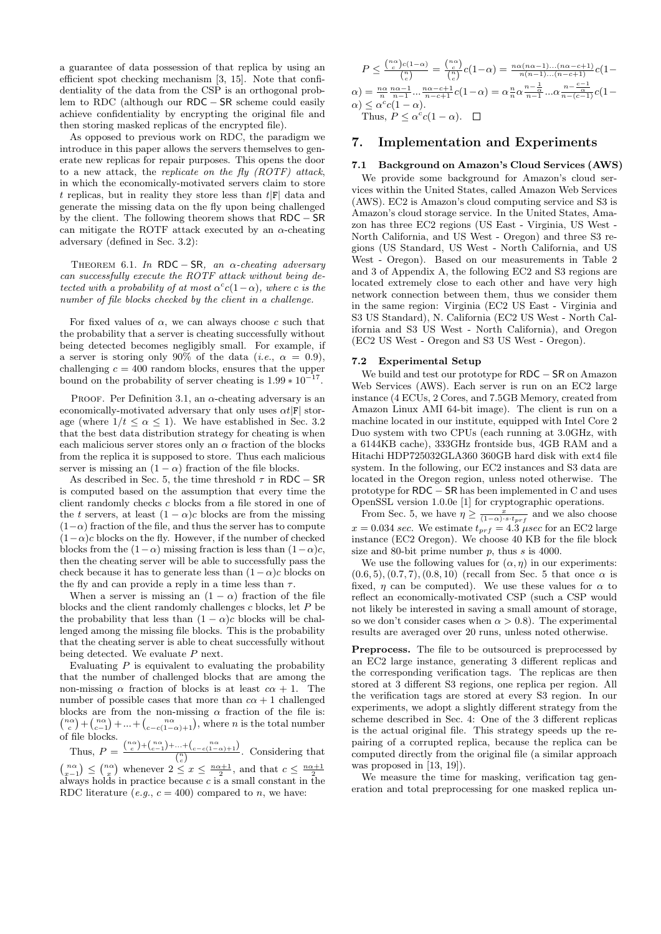a guarantee of data possession of that replica by using an efficient spot checking mechanism [3, 15]. Note that confidentiality of the data from the CSP is an orthogonal problem to RDC (although our RDC − SR scheme could easily achieve confidentiality by encrypting the original file and then storing masked replicas of the encrypted file).

As opposed to previous work on RDC, the paradigm we introduce in this paper allows the servers themselves to generate new replicas for repair purposes. This opens the door to a new attack, the replicate on the fly (ROTF) attack, in which the economically-motivated servers claim to store t replicas, but in reality they store less than  $t|F|$  data and generate the missing data on the fly upon being challenged by the client. The following theorem shows that RDC − SR can mitigate the ROTF attack executed by an  $\alpha$ -cheating adversary (defined in Sec. 3.2):

THEOREM 6.1. In RDC – SR, an  $\alpha$ -cheating adversary can successfully execute the ROTF attack without being detected with a probability of at most  $\alpha^c c(1-\alpha)$ , where c is the number of file blocks checked by the client in a challenge.

For fixed values of  $\alpha$ , we can always choose c such that the probability that a server is cheating successfully without being detected becomes negligibly small. For example, if a server is storing only 90% of the data (*i.e.*,  $\alpha = 0.9$ ), challenging  $c = 400$  random blocks, ensures that the upper bound on the probability of server cheating is  $1.99 * 10^-$ .

PROOF. Per Definition 3.1, an  $\alpha$ -cheating adversary is an economically-motivated adversary that only uses  $\alpha t |F|$  storage (where  $1/t \leq \alpha \leq 1$ ). We have established in Sec. 3.2 that the best data distribution strategy for cheating is when each malicious server stores only an  $\alpha$  fraction of the blocks from the replica it is supposed to store. Thus each malicious server is missing an  $(1 - \alpha)$  fraction of the file blocks.

As described in Sec. 5, the time threshold  $\tau$  in RDC – SR is computed based on the assumption that every time the client randomly checks c blocks from a file stored in one of the t servers, at least  $(1 - \alpha)c$  blocks are from the missing  $(1-\alpha)$  fraction of the file, and thus the server has to compute  $(1-\alpha)c$  blocks on the fly. However, if the number of checked blocks from the  $(1-\alpha)$  missing fraction is less than  $(1-\alpha)c$ , then the cheating server will be able to successfully pass the check because it has to generate less than  $(1-\alpha)c$  blocks on the fly and can provide a reply in a time less than  $\tau$ .

When a server is missing an  $(1 - \alpha)$  fraction of the file blocks and the client randomly challenges c blocks, let P be the probability that less than  $(1 - \alpha)c$  blocks will be challenged among the missing file blocks. This is the probability that the cheating server is able to cheat successfully without being detected. We evaluate P next.

Evaluating  $P$  is equivalent to evaluating the probability that the number of challenged blocks that are among the non-missing  $\alpha$  fraction of blocks is at least  $c\alpha + 1$ . The number of possible cases that more than  $c\alpha + 1$  challenged blocks are from the non-missing  $\alpha$  fraction of the file is:  $\binom{n\alpha}{c} + \binom{n\alpha}{c-1} + \ldots + \binom{n\alpha}{c-c(1-\alpha)+1}$ , where *n* is the total number of file blocks.

Thus,  $P = \frac{{\binom{n\alpha}{c}} + {\binom{n\alpha}{c-1}} + \ldots + {\binom{n\alpha}{c-c(1-\alpha)+1}}}{{\binom{n\alpha}{c}}}$  $\frac{(n+1)(c-c(1-\alpha)+1)}{(c)}$ . Considering that  $\binom{n\alpha}{x-1} \leq \binom{n\alpha}{x}$  whenever  $2 \leq x \leq \frac{n\alpha+1}{2}$ , and that  $c \leq \frac{n\alpha}{2}$  $n\alpha+1$  and that  $\alpha < n\alpha+1$ always holds in practice because  $c$  is a small constant in the RDC literature (*e.g.*,  $c = 400$ ) compared to *n*, we have:

$$
P \leq \frac{\binom{n\alpha}{c}c(1-\alpha)}{\binom{n}{c}} = \frac{\binom{n\alpha}{c}}{\binom{n}{c}}c(1-\alpha) = \frac{n\alpha(n\alpha-1)\dots(n\alpha-c+1)}{n(n-1)\dots(n-c+1)}c(1-\alpha)
$$

$$
\alpha) = \frac{n\alpha}{n}\frac{n\alpha-1}{n-1}\dots\frac{n\alpha-c+1}{n-c+1}c(1-\alpha) = \alpha\frac{n}{n}\alpha\frac{n-\frac{1}{\alpha}}{n-1}\dots\alpha\frac{n-\frac{c-1}{\alpha}}{n-(c-1)}c(1-\alpha)
$$

$$
\alpha) \leq \alpha^{c}c(1-\alpha).
$$
Thus  $P \leq \alpha^{c}c(1-\alpha)$ .

Thus,  $P \leq \alpha^c$  $-\alpha$ ).

# 7. Implementation and Experiments

### 7.1 Background on Amazon's Cloud Services (AWS)

We provide some background for Amazon's cloud services within the United States, called Amazon Web Services (AWS). EC2 is Amazon's cloud computing service and S3 is Amazon's cloud storage service. In the United States, Amazon has three EC2 regions (US East - Virginia, US West - North California, and US West - Oregon) and three S3 regions (US Standard, US West - North California, and US West - Oregon). Based on our measurements in Table 2 and 3 of Appendix A, the following EC2 and S3 regions are located extremely close to each other and have very high network connection between them, thus we consider them in the same region: Virginia (EC2 US East - Virginia and S3 US Standard), N. California (EC2 US West - North California and S3 US West - North California), and Oregon (EC2 US West - Oregon and S3 US West - Oregon).

#### 7.2 Experimental Setup

We build and test our prototype for RDC − SR on Amazon Web Services (AWS). Each server is run on an EC2 large instance (4 ECUs, 2 Cores, and 7.5GB Memory, created from Amazon Linux AMI 64-bit image). The client is run on a machine located in our institute, equipped with Intel Core 2 Duo system with two CPUs (each running at 3.0GHz, with a 6144KB cache), 333GHz frontside bus, 4GB RAM and a Hitachi HDP725032GLA360 360GB hard disk with ext4 file system. In the following, our EC2 instances and S3 data are located in the Oregon region, unless noted otherwise. The prototype for RDC − SR has been implemented in C and uses OpenSSL version 1.0.0e [1] for cryptographic operations.

From Sec. 5, we have  $\eta \geq \frac{x}{(1-\alpha)\cdot s\cdot t_{prf}}$  and we also choose  $x = 0.034$  sec. We estimate  $t_{prf} = 4.3 \mu sec$  for an EC2 large instance (EC2 Oregon). We choose 40 KB for the file block size and 80-bit prime number  $p$ , thus  $s$  is 4000.

We use the following values for  $(\alpha, \eta)$  in our experiments:  $(0.6, 5), (0.7, 7), (0.8, 10)$  (recall from Sec. 5 that once  $\alpha$  is fixed,  $\eta$  can be computed). We use these values for  $\alpha$  to reflect an economically-motivated CSP (such a CSP would not likely be interested in saving a small amount of storage, so we don't consider cases when  $\alpha > 0.8$ ). The experimental results are averaged over 20 runs, unless noted otherwise.

Preprocess. The file to be outsourced is preprocessed by an EC2 large instance, generating 3 different replicas and the corresponding verification tags. The replicas are then stored at 3 different S3 regions, one replica per region. All the verification tags are stored at every S3 region. In our experiments, we adopt a slightly different strategy from the scheme described in Sec. 4: One of the 3 different replicas is the actual original file. This strategy speeds up the repairing of a corrupted replica, because the replica can be computed directly from the original file (a similar approach was proposed in [13, 19]).

We measure the time for masking, verification tag generation and total preprocessing for one masked replica un-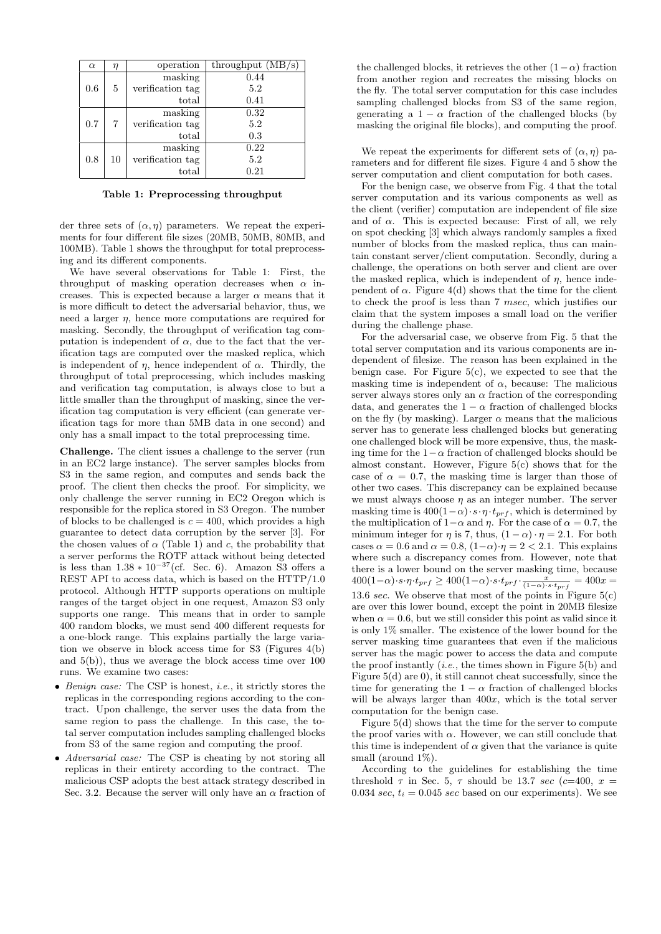| $\alpha$ | η  | operation        | throughput $(MB/s)$ |
|----------|----|------------------|---------------------|
|          |    | masking          | 0.44                |
| 0.6      | 5  | verification tag | 5.2                 |
|          |    | total            | 0.41                |
|          |    | masking          | 0.32                |
| 0.7      | 7  | verification tag | 5.2                 |
|          |    | total            | 0.3                 |
|          |    | masking          | 0.22                |
| 0.8      | 10 | verification tag | 5.2                 |
|          |    | $_{\rm total}$   | 0.21                |

Table 1: Preprocessing throughput

der three sets of  $(\alpha, \eta)$  parameters. We repeat the experiments for four different file sizes (20MB, 50MB, 80MB, and 100MB). Table 1 shows the throughput for total preprocessing and its different components.

We have several observations for Table 1: First, the throughput of masking operation decreases when  $\alpha$  increases. This is expected because a larger  $\alpha$  means that it is more difficult to detect the adversarial behavior, thus, we need a larger  $\eta$ , hence more computations are required for masking. Secondly, the throughput of verification tag computation is independent of  $\alpha$ , due to the fact that the verification tags are computed over the masked replica, which is independent of  $\eta$ , hence independent of  $\alpha$ . Thirdly, the throughput of total preprocessing, which includes masking and verification tag computation, is always close to but a little smaller than the throughput of masking, since the verification tag computation is very efficient (can generate verification tags for more than 5MB data in one second) and only has a small impact to the total preprocessing time.

Challenge. The client issues a challenge to the server (run in an EC2 large instance). The server samples blocks from S3 in the same region, and computes and sends back the proof. The client then checks the proof. For simplicity, we only challenge the server running in EC2 Oregon which is responsible for the replica stored in S3 Oregon. The number of blocks to be challenged is  $c = 400$ , which provides a high guarantee to detect data corruption by the server [3]. For the chosen values of  $\alpha$  (Table 1) and c, the probability that a server performs the ROTF attack without being detected is less than  $1.38 * 10^{-37}$  (cf. Sec. 6). Amazon S3 offers a REST API to access data, which is based on the HTTP/1.0 protocol. Although HTTP supports operations on multiple ranges of the target object in one request, Amazon S3 only supports one range. This means that in order to sample 400 random blocks, we must send 400 different requests for a one-block range. This explains partially the large variation we observe in block access time for S3 (Figures 4(b) and 5(b)), thus we average the block access time over 100 runs. We examine two cases:

- Benign case: The CSP is honest, *i.e.*, it strictly stores the replicas in the corresponding regions according to the contract. Upon challenge, the server uses the data from the same region to pass the challenge. In this case, the total server computation includes sampling challenged blocks from S3 of the same region and computing the proof.
- Adversarial case: The CSP is cheating by not storing all replicas in their entirety according to the contract. The malicious CSP adopts the best attack strategy described in Sec. 3.2. Because the server will only have an  $\alpha$  fraction of

the challenged blocks, it retrieves the other  $(1-\alpha)$  fraction from another region and recreates the missing blocks on the fly. The total server computation for this case includes sampling challenged blocks from S3 of the same region, generating a  $1 - \alpha$  fraction of the challenged blocks (by masking the original file blocks), and computing the proof.

We repeat the experiments for different sets of  $(\alpha, \eta)$  parameters and for different file sizes. Figure 4 and 5 show the server computation and client computation for both cases.

For the benign case, we observe from Fig. 4 that the total server computation and its various components as well as the client (verifier) computation are independent of file size and of  $\alpha$ . This is expected because: First of all, we rely on spot checking [3] which always randomly samples a fixed number of blocks from the masked replica, thus can maintain constant server/client computation. Secondly, during a challenge, the operations on both server and client are over the masked replica, which is independent of  $\eta$ , hence independent of  $\alpha$ . Figure 4(d) shows that the time for the client to check the proof is less than 7 msec, which justifies our claim that the system imposes a small load on the verifier during the challenge phase.

For the adversarial case, we observe from Fig. 5 that the total server computation and its various components are independent of filesize. The reason has been explained in the benign case. For Figure  $5(c)$ , we expected to see that the masking time is independent of  $\alpha$ , because: The malicious server always stores only an  $\alpha$  fraction of the corresponding data, and generates the  $1 - \alpha$  fraction of challenged blocks on the fly (by masking). Larger  $\alpha$  means that the malicious server has to generate less challenged blocks but generating one challenged block will be more expensive, thus, the masking time for the 1−α fraction of challenged blocks should be almost constant. However, Figure 5(c) shows that for the case of  $\alpha = 0.7$ , the masking time is larger than those of other two cases. This discrepancy can be explained because we must always choose  $\eta$  as an integer number. The server masking time is  $400(1-\alpha) \cdot s \cdot \eta \cdot t_{prf}$ , which is determined by the multiplication of  $1-\alpha$  and  $\eta$ . For the case of  $\alpha = 0.7$ , the minimum integer for  $\eta$  is 7, thus,  $(1 - \alpha) \cdot \eta = 2.1$ . For both cases  $\alpha = 0.6$  and  $\alpha = 0.8$ ,  $(1-\alpha) \cdot \eta = 2 < 2.1$ . This explains where such a discrepancy comes from. However, note that there is a lower bound on the server masking time, because  $400(1-\alpha) \cdot s \cdot \eta \cdot t_{prf} \ge 400(1-\alpha) \cdot s \cdot t_{prf} \cdot \frac{x}{(1-\alpha) \cdot s \cdot t_{prf}} = 400x =$ 13.6 sec. We observe that most of the points in Figure  $5(c)$ are over this lower bound, except the point in 20MB filesize when  $\alpha = 0.6$ , but we still consider this point as valid since it is only 1% smaller. The existence of the lower bound for the server masking time guarantees that even if the malicious server has the magic power to access the data and compute the proof instantly (*i.e.*, the times shown in Figure  $5(b)$  and Figure 5(d) are 0), it still cannot cheat successfully, since the time for generating the  $1 - \alpha$  fraction of challenged blocks will be always larger than  $400x$ , which is the total server computation for the benign case.

Figure 5(d) shows that the time for the server to compute the proof varies with  $\alpha$ . However, we can still conclude that this time is independent of  $\alpha$  given that the variance is quite small (around  $1\%$ ).

According to the guidelines for establishing the time threshold  $\tau$  in Sec. 5,  $\tau$  should be 13.7 sec (c=400, x = 0.034 sec,  $t_i = 0.045$  sec based on our experiments). We see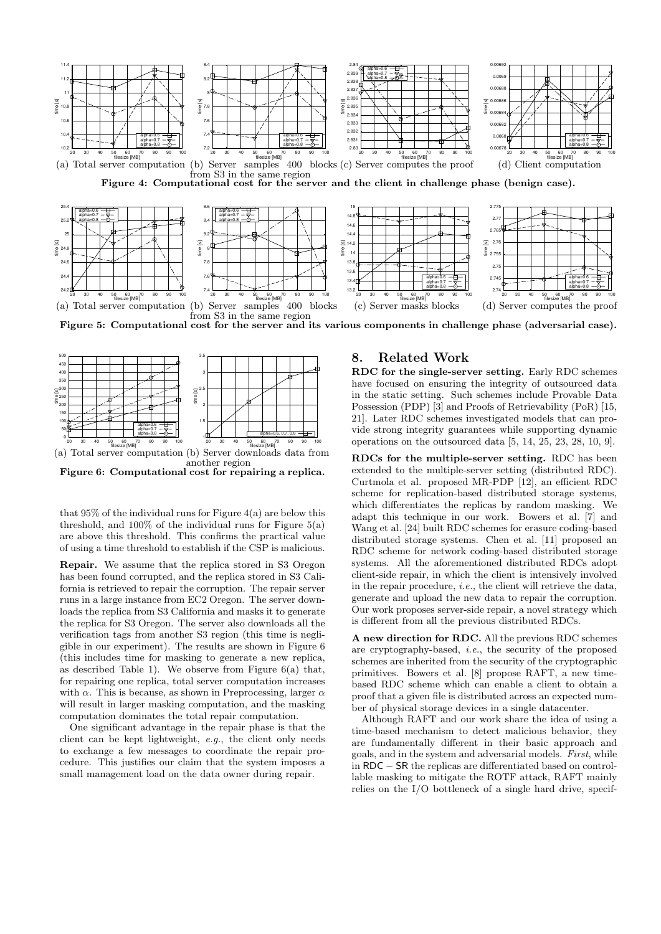

Figure 5: Computational cost for the server and its various components in challenge phase (adversarial case).



another region Figure 6: Computational cost for repairing a replica.

that  $95\%$  of the individual runs for Figure  $4(a)$  are below this threshold, and  $100\%$  of the individual runs for Figure  $5(a)$ are above this threshold. This confirms the practical value of using a time threshold to establish if the CSP is malicious.

Repair. We assume that the replica stored in S3 Oregon has been found corrupted, and the replica stored in S3 California is retrieved to repair the corruption. The repair server runs in a large instance from EC2 Oregon. The server downloads the replica from S3 California and masks it to generate the replica for S3 Oregon. The server also downloads all the verification tags from another S3 region (this time is negligible in our experiment). The results are shown in Figure 6 (this includes time for masking to generate a new replica, as described Table 1). We observe from Figure 6(a) that, for repairing one replica, total server computation increases with  $\alpha$ . This is because, as shown in Preprocessing, larger  $\alpha$ will result in larger masking computation, and the masking computation dominates the total repair computation.

One significant advantage in the repair phase is that the client can be kept lightweight, e.g., the client only needs to exchange a few messages to coordinate the repair procedure. This justifies our claim that the system imposes a small management load on the data owner during repair.

# 8. Related Work

RDC for the single-server setting. Early RDC schemes have focused on ensuring the integrity of outsourced data in the static setting. Such schemes include Provable Data Possession (PDP) [3] and Proofs of Retrievability (PoR) [15, 21]. Later RDC schemes investigated models that can provide strong integrity guarantees while supporting dynamic operations on the outsourced data [5, 14, 25, 23, 28, 10, 9].

RDCs for the multiple-server setting. RDC has been extended to the multiple-server setting (distributed RDC). Curtmola et al. proposed MR-PDP [12], an efficient RDC scheme for replication-based distributed storage systems, which differentiates the replicas by random masking. We adapt this technique in our work. Bowers et al. [7] and Wang et al. [24] built RDC schemes for erasure coding-based distributed storage systems. Chen et al. [11] proposed an RDC scheme for network coding-based distributed storage systems. All the aforementioned distributed RDCs adopt client-side repair, in which the client is intensively involved in the repair procedure, i.e., the client will retrieve the data, generate and upload the new data to repair the corruption. Our work proposes server-side repair, a novel strategy which is different from all the previous distributed RDCs.

A new direction for RDC. All the previous RDC schemes are cryptography-based, i.e., the security of the proposed schemes are inherited from the security of the cryptographic primitives. Bowers et al. [8] propose RAFT, a new timebased RDC scheme which can enable a client to obtain a proof that a given file is distributed across an expected number of physical storage devices in a single datacenter.

Although RAFT and our work share the idea of using a time-based mechanism to detect malicious behavior, they are fundamentally different in their basic approach and goals, and in the system and adversarial models. First, while in RDC − SR the replicas are differentiated based on controllable masking to mitigate the ROTF attack, RAFT mainly relies on the I/O bottleneck of a single hard drive, specif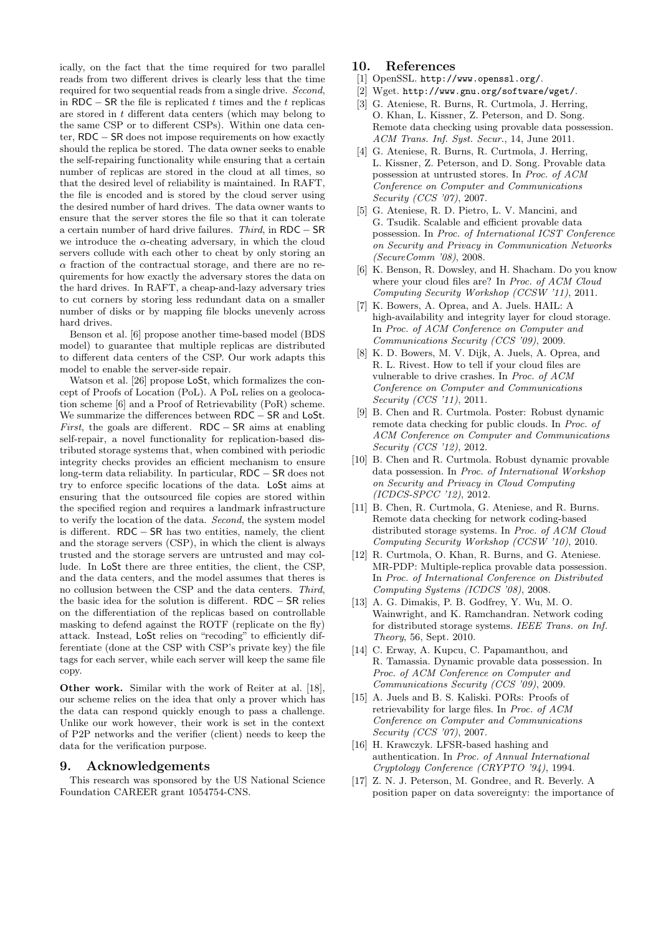ically, on the fact that the time required for two parallel reads from two different drives is clearly less that the time required for two sequential reads from a single drive. Second, in RDC – SR the file is replicated t times and the t replicas are stored in t different data centers (which may belong to the same CSP or to different CSPs). Within one data center, RDC − SR does not impose requirements on how exactly should the replica be stored. The data owner seeks to enable the self-repairing functionality while ensuring that a certain number of replicas are stored in the cloud at all times, so that the desired level of reliability is maintained. In RAFT, the file is encoded and is stored by the cloud server using the desired number of hard drives. The data owner wants to ensure that the server stores the file so that it can tolerate a certain number of hard drive failures. Third, in RDC − SR we introduce the  $\alpha$ -cheating adversary, in which the cloud servers collude with each other to cheat by only storing an  $\alpha$  fraction of the contractual storage, and there are no requirements for how exactly the adversary stores the data on the hard drives. In RAFT, a cheap-and-lazy adversary tries to cut corners by storing less redundant data on a smaller number of disks or by mapping file blocks unevenly across hard drives.

Benson et al. [6] propose another time-based model (BDS model) to guarantee that multiple replicas are distributed to different data centers of the CSP. Our work adapts this model to enable the server-side repair.

Watson et al. [26] propose LoSt, which formalizes the concept of Proofs of Location (PoL). A PoL relies on a geolocation scheme [6] and a Proof of Retrievability (PoR) scheme. We summarize the differences between RDC − SR and LoSt. *First*, the goals are different.  $RDC - SR$  aims at enabling self-repair, a novel functionality for replication-based distributed storage systems that, when combined with periodic integrity checks provides an efficient mechanism to ensure long-term data reliability. In particular, RDC − SR does not try to enforce specific locations of the data. LoSt aims at ensuring that the outsourced file copies are stored within the specified region and requires a landmark infrastructure to verify the location of the data. Second, the system model is different. RDC − SR has two entities, namely, the client and the storage servers (CSP), in which the client is always trusted and the storage servers are untrusted and may collude. In LoSt there are three entities, the client, the CSP, and the data centers, and the model assumes that theres is no collusion between the CSP and the data centers. Third, the basic idea for the solution is different. RDC − SR relies on the differentiation of the replicas based on controllable masking to defend against the ROTF (replicate on the fly) attack. Instead, LoSt relies on "recoding" to efficiently differentiate (done at the CSP with CSP's private key) the file tags for each server, while each server will keep the same file copy.

Other work. Similar with the work of Reiter at al. [18], our scheme relies on the idea that only a prover which has the data can respond quickly enough to pass a challenge. Unlike our work however, their work is set in the context of P2P networks and the verifier (client) needs to keep the data for the verification purpose.

### 9. Acknowledgements

This research was sponsored by the US National Science Foundation CAREER grant 1054754-CNS.

# 10. References

- [1] OpenSSL. http://www.openssl.org/.
- [2] Wget. http://www.gnu.org/software/wget/.
- [3] G. Ateniese, R. Burns, R. Curtmola, J. Herring, O. Khan, L. Kissner, Z. Peterson, and D. Song. Remote data checking using provable data possession. ACM Trans. Inf. Syst. Secur., 14, June 2011.
- [4] G. Ateniese, R. Burns, R. Curtmola, J. Herring, L. Kissner, Z. Peterson, and D. Song. Provable data possession at untrusted stores. In Proc. of ACM Conference on Computer and Communications Security (CCS '07), 2007.
- [5] G. Ateniese, R. D. Pietro, L. V. Mancini, and G. Tsudik. Scalable and efficient provable data possession. In Proc. of International ICST Conference on Security and Privacy in Communication Networks (SecureComm '08), 2008.
- [6] K. Benson, R. Dowsley, and H. Shacham. Do you know where your cloud files are? In Proc. of ACM Cloud Computing Security Workshop (CCSW '11), 2011.
- [7] K. Bowers, A. Oprea, and A. Juels. HAIL: A high-availability and integrity layer for cloud storage. In Proc. of ACM Conference on Computer and Communications Security (CCS '09), 2009.
- [8] K. D. Bowers, M. V. Dijk, A. Juels, A. Oprea, and R. L. Rivest. How to tell if your cloud files are vulnerable to drive crashes. In Proc. of ACM Conference on Computer and Communications Security (CCS '11), 2011.
- [9] B. Chen and R. Curtmola. Poster: Robust dynamic remote data checking for public clouds. In Proc. of ACM Conference on Computer and Communications Security (CCS '12), 2012.
- [10] B. Chen and R. Curtmola. Robust dynamic provable data possession. In Proc. of International Workshop on Security and Privacy in Cloud Computing (ICDCS-SPCC '12), 2012.
- [11] B. Chen, R. Curtmola, G. Ateniese, and R. Burns. Remote data checking for network coding-based distributed storage systems. In Proc. of ACM Cloud Computing Security Workshop (CCSW '10), 2010.
- [12] R. Curtmola, O. Khan, R. Burns, and G. Ateniese. MR-PDP: Multiple-replica provable data possession. In Proc. of International Conference on Distributed Computing Systems (ICDCS '08), 2008.
- [13] A. G. Dimakis, P. B. Godfrey, Y. Wu, M. O. Wainwright, and K. Ramchandran. Network coding for distributed storage systems. IEEE Trans. on Inf. Theory, 56, Sept. 2010.
- [14] C. Erway, A. Kupcu, C. Papamanthou, and R. Tamassia. Dynamic provable data possession. In Proc. of ACM Conference on Computer and Communications Security (CCS '09), 2009.
- [15] A. Juels and B. S. Kaliski. PORs: Proofs of retrievability for large files. In Proc. of ACM Conference on Computer and Communications Security (CCS '07), 2007.
- [16] H. Krawczyk. LFSR-based hashing and authentication. In Proc. of Annual International Cryptology Conference (CRYPTO '94), 1994.
- [17] Z. N. J. Peterson, M. Gondree, and R. Beverly. A position paper on data sovereignty: the importance of